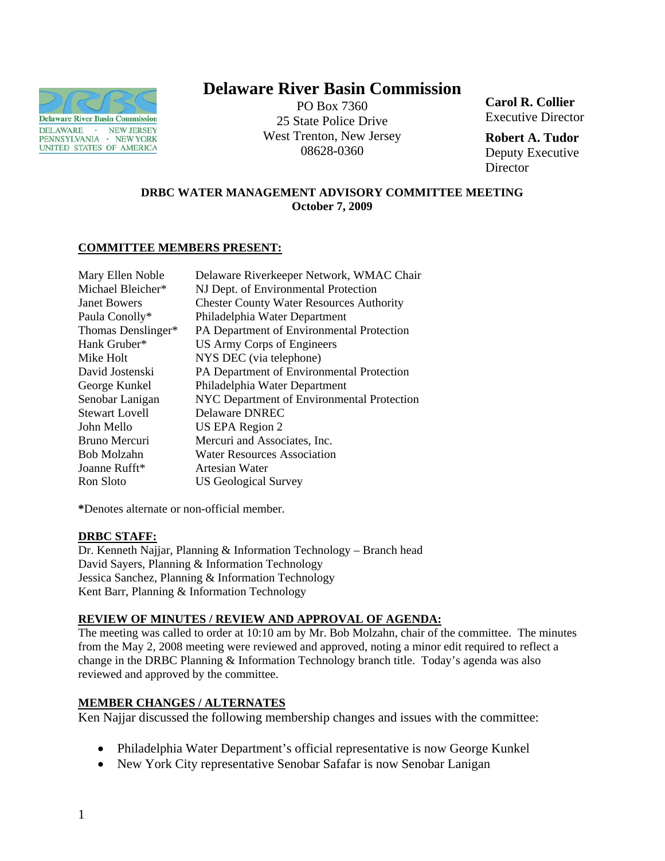

# **Delaware River Basin Commission**

PO Box 7360 25 State Police Drive West Trenton, New Jersey 08628-0360

**Carol R. Collier** Executive Director

**Robert A. Tudor**  Deputy Executive **Director** 

## **DRBC WATER MANAGEMENT ADVISORY COMMITTEE MEETING October 7, 2009**

### **COMMITTEE MEMBERS PRESENT:**

| Mary Ellen Noble      | Delaware Riverkeeper Network, WMAC Chair        |
|-----------------------|-------------------------------------------------|
| Michael Bleicher*     | NJ Dept. of Environmental Protection            |
| <b>Janet Bowers</b>   | <b>Chester County Water Resources Authority</b> |
| Paula Conolly*        | Philadelphia Water Department                   |
| Thomas Denslinger*    | PA Department of Environmental Protection       |
| Hank Gruber*          | US Army Corps of Engineers                      |
| Mike Holt             | NYS DEC (via telephone)                         |
| David Jostenski       | PA Department of Environmental Protection       |
| George Kunkel         | Philadelphia Water Department                   |
| Senobar Lanigan       | NYC Department of Environmental Protection      |
| <b>Stewart Lovell</b> | Delaware DNREC                                  |
| John Mello            | US EPA Region 2                                 |
| Bruno Mercuri         | Mercuri and Associates, Inc.                    |
| Bob Molzahn           | <b>Water Resources Association</b>              |
| Joanne Rufft*         | Artesian Water                                  |
| Ron Sloto             | <b>US Geological Survey</b>                     |

**\***Denotes alternate or non-official member.

#### **DRBC STAFF:**

Dr. Kenneth Najjar, Planning & Information Technology – Branch head David Sayers, Planning & Information Technology Jessica Sanchez, Planning & Information Technology Kent Barr, Planning & Information Technology

### **REVIEW OF MINUTES / REVIEW AND APPROVAL OF AGENDA:**

The meeting was called to order at 10:10 am by Mr. Bob Molzahn, chair of the committee. The minutes from the May 2, 2008 meeting were reviewed and approved, noting a minor edit required to reflect a change in the DRBC Planning & Information Technology branch title. Today's agenda was also reviewed and approved by the committee.

#### **MEMBER CHANGES / ALTERNATES**

Ken Najjar discussed the following membership changes and issues with the committee:

- Philadelphia Water Department's official representative is now George Kunkel
- New York City representative Senobar Safafar is now Senobar Lanigan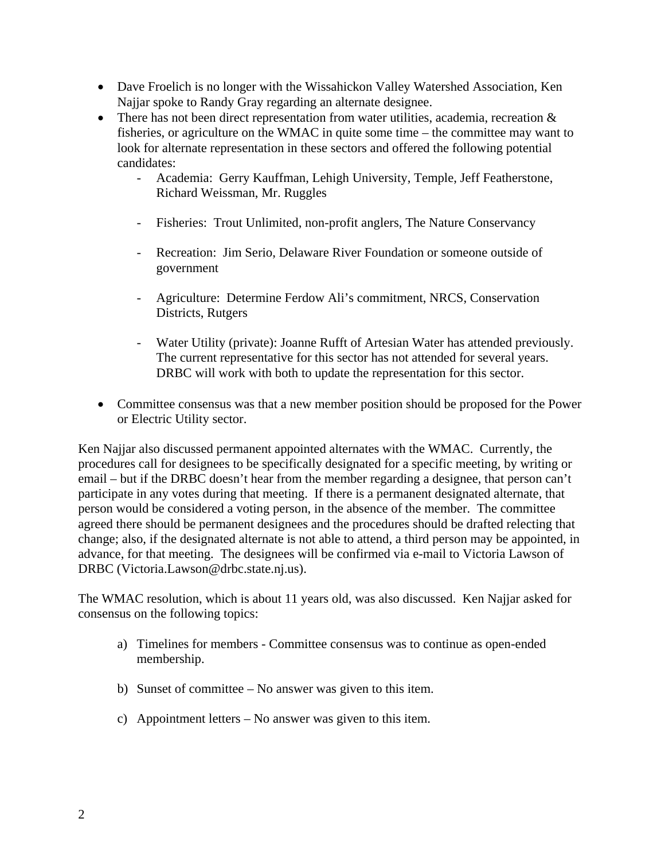- Dave Froelich is no longer with the Wissahickon Valley Watershed Association, Ken Najjar spoke to Randy Gray regarding an alternate designee.
- There has not been direct representation from water utilities, academia, recreation  $\&$ fisheries, or agriculture on the WMAC in quite some time – the committee may want to look for alternate representation in these sectors and offered the following potential candidates:
	- Academia: Gerry Kauffman, Lehigh University, Temple, Jeff Featherstone, Richard Weissman, Mr. Ruggles
	- Fisheries: Trout Unlimited, non-profit anglers, The Nature Conservancy
	- Recreation: Jim Serio, Delaware River Foundation or someone outside of government
	- Agriculture: Determine Ferdow Ali's commitment, NRCS, Conservation Districts, Rutgers
	- Water Utility (private): Joanne Rufft of Artesian Water has attended previously. The current representative for this sector has not attended for several years. DRBC will work with both to update the representation for this sector.
- Committee consensus was that a new member position should be proposed for the Power or Electric Utility sector.

Ken Najjar also discussed permanent appointed alternates with the WMAC. Currently, the procedures call for designees to be specifically designated for a specific meeting, by writing or email – but if the DRBC doesn't hear from the member regarding a designee, that person can't participate in any votes during that meeting. If there is a permanent designated alternate, that person would be considered a voting person, in the absence of the member. The committee agreed there should be permanent designees and the procedures should be drafted relecting that change; also, if the designated alternate is not able to attend, a third person may be appointed, in advance, for that meeting. The designees will be confirmed via e-mail to Victoria Lawson of DRBC (Victoria.Lawson@drbc.state.nj.us).

The WMAC resolution, which is about 11 years old, was also discussed. Ken Najjar asked for consensus on the following topics:

- a) Timelines for members Committee consensus was to continue as open-ended membership.
- b) Sunset of committee No answer was given to this item.
- c) Appointment letters No answer was given to this item.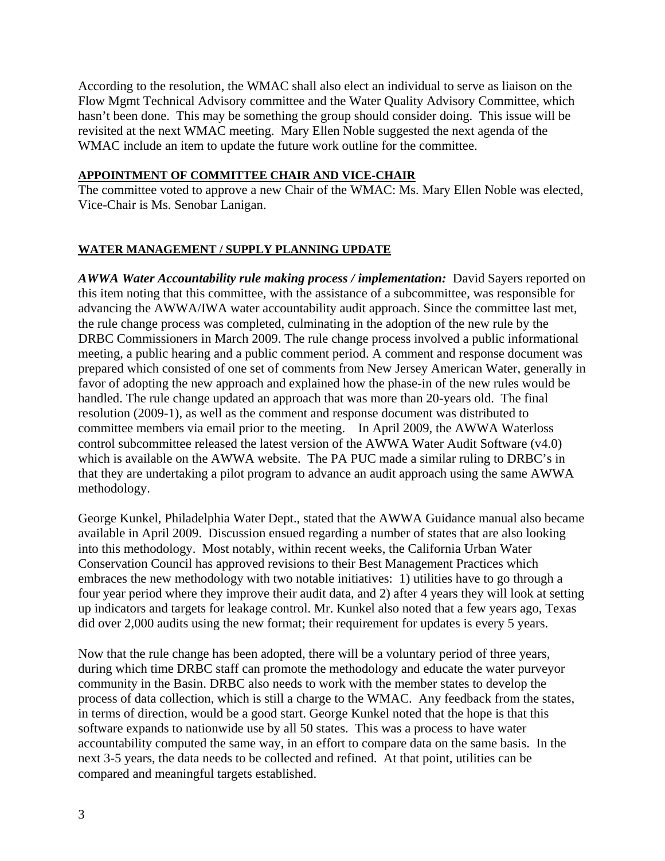According to the resolution, the WMAC shall also elect an individual to serve as liaison on the Flow Mgmt Technical Advisory committee and the Water Quality Advisory Committee, which hasn't been done. This may be something the group should consider doing. This issue will be revisited at the next WMAC meeting. Mary Ellen Noble suggested the next agenda of the WMAC include an item to update the future work outline for the committee.

#### **APPOINTMENT OF COMMITTEE CHAIR AND VICE-CHAIR**

The committee voted to approve a new Chair of the WMAC: Ms. Mary Ellen Noble was elected, Vice-Chair is Ms. Senobar Lanigan.

### **WATER MANAGEMENT / SUPPLY PLANNING UPDATE**

*AWWA Water Accountability rule making process / implementation:* David Sayers reported on this item noting that this committee, with the assistance of a subcommittee, was responsible for advancing the AWWA/IWA water accountability audit approach. Since the committee last met, the rule change process was completed, culminating in the adoption of the new rule by the DRBC Commissioners in March 2009. The rule change process involved a public informational meeting, a public hearing and a public comment period. A comment and response document was prepared which consisted of one set of comments from New Jersey American Water, generally in favor of adopting the new approach and explained how the phase-in of the new rules would be handled. The rule change updated an approach that was more than 20-years old. The final resolution (2009-1), as well as the comment and response document was distributed to committee members via email prior to the meeting. In April 2009, the AWWA Waterloss control subcommittee released the latest version of the AWWA Water Audit Software (v4.0) which is available on the AWWA website. The PA PUC made a similar ruling to DRBC's in that they are undertaking a pilot program to advance an audit approach using the same AWWA methodology.

George Kunkel, Philadelphia Water Dept., stated that the AWWA Guidance manual also became available in April 2009. Discussion ensued regarding a number of states that are also looking into this methodology. Most notably, within recent weeks, the California Urban Water Conservation Council has approved revisions to their Best Management Practices which embraces the new methodology with two notable initiatives: 1) utilities have to go through a four year period where they improve their audit data, and 2) after 4 years they will look at setting up indicators and targets for leakage control. Mr. Kunkel also noted that a few years ago, Texas did over 2,000 audits using the new format; their requirement for updates is every 5 years.

Now that the rule change has been adopted, there will be a voluntary period of three years, during which time DRBC staff can promote the methodology and educate the water purveyor community in the Basin. DRBC also needs to work with the member states to develop the process of data collection, which is still a charge to the WMAC. Any feedback from the states, in terms of direction, would be a good start. George Kunkel noted that the hope is that this software expands to nationwide use by all 50 states. This was a process to have water accountability computed the same way, in an effort to compare data on the same basis. In the next 3-5 years, the data needs to be collected and refined. At that point, utilities can be compared and meaningful targets established.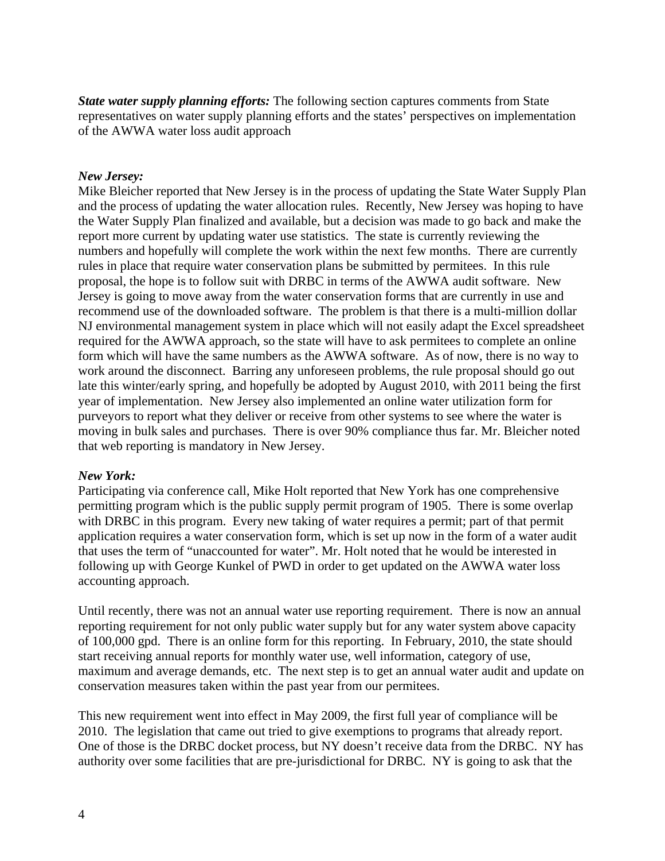*State water supply planning efforts:* The following section captures comments from State representatives on water supply planning efforts and the states' perspectives on implementation of the AWWA water loss audit approach

## *New Jersey:*

Mike Bleicher reported that New Jersey is in the process of updating the State Water Supply Plan and the process of updating the water allocation rules. Recently, New Jersey was hoping to have the Water Supply Plan finalized and available, but a decision was made to go back and make the report more current by updating water use statistics. The state is currently reviewing the numbers and hopefully will complete the work within the next few months. There are currently rules in place that require water conservation plans be submitted by permitees. In this rule proposal, the hope is to follow suit with DRBC in terms of the AWWA audit software. New Jersey is going to move away from the water conservation forms that are currently in use and recommend use of the downloaded software. The problem is that there is a multi-million dollar NJ environmental management system in place which will not easily adapt the Excel spreadsheet required for the AWWA approach, so the state will have to ask permitees to complete an online form which will have the same numbers as the AWWA software. As of now, there is no way to work around the disconnect. Barring any unforeseen problems, the rule proposal should go out late this winter/early spring, and hopefully be adopted by August 2010, with 2011 being the first year of implementation. New Jersey also implemented an online water utilization form for purveyors to report what they deliver or receive from other systems to see where the water is moving in bulk sales and purchases. There is over 90% compliance thus far. Mr. Bleicher noted that web reporting is mandatory in New Jersey.

### *New York:*

Participating via conference call, Mike Holt reported that New York has one comprehensive permitting program which is the public supply permit program of 1905. There is some overlap with DRBC in this program. Every new taking of water requires a permit; part of that permit application requires a water conservation form, which is set up now in the form of a water audit that uses the term of "unaccounted for water". Mr. Holt noted that he would be interested in following up with George Kunkel of PWD in order to get updated on the AWWA water loss accounting approach.

Until recently, there was not an annual water use reporting requirement. There is now an annual reporting requirement for not only public water supply but for any water system above capacity of 100,000 gpd. There is an online form for this reporting. In February, 2010, the state should start receiving annual reports for monthly water use, well information, category of use, maximum and average demands, etc. The next step is to get an annual water audit and update on conservation measures taken within the past year from our permitees.

This new requirement went into effect in May 2009, the first full year of compliance will be 2010. The legislation that came out tried to give exemptions to programs that already report. One of those is the DRBC docket process, but NY doesn't receive data from the DRBC. NY has authority over some facilities that are pre-jurisdictional for DRBC. NY is going to ask that the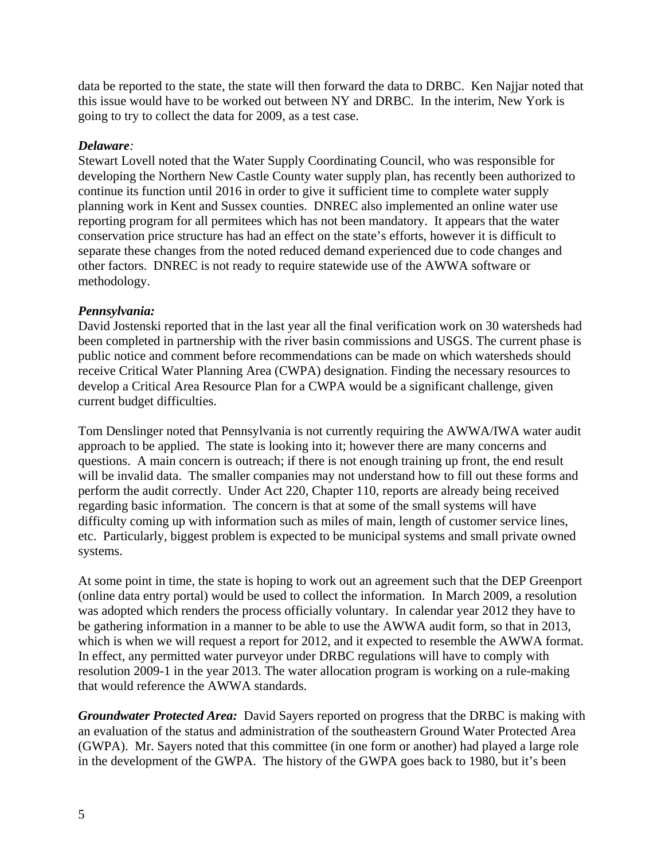data be reported to the state, the state will then forward the data to DRBC. Ken Najjar noted that this issue would have to be worked out between NY and DRBC. In the interim, New York is going to try to collect the data for 2009, as a test case.

## *Delaware:*

Stewart Lovell noted that the Water Supply Coordinating Council, who was responsible for developing the Northern New Castle County water supply plan, has recently been authorized to continue its function until 2016 in order to give it sufficient time to complete water supply planning work in Kent and Sussex counties. DNREC also implemented an online water use reporting program for all permitees which has not been mandatory. It appears that the water conservation price structure has had an effect on the state's efforts, however it is difficult to separate these changes from the noted reduced demand experienced due to code changes and other factors. DNREC is not ready to require statewide use of the AWWA software or methodology.

## *Pennsylvania:*

David Jostenski reported that in the last year all the final verification work on 30 watersheds had been completed in partnership with the river basin commissions and USGS. The current phase is public notice and comment before recommendations can be made on which watersheds should receive Critical Water Planning Area (CWPA) designation. Finding the necessary resources to develop a Critical Area Resource Plan for a CWPA would be a significant challenge, given current budget difficulties.

Tom Denslinger noted that Pennsylvania is not currently requiring the AWWA/IWA water audit approach to be applied. The state is looking into it; however there are many concerns and questions. A main concern is outreach; if there is not enough training up front, the end result will be invalid data. The smaller companies may not understand how to fill out these forms and perform the audit correctly. Under Act 220, Chapter 110, reports are already being received regarding basic information. The concern is that at some of the small systems will have difficulty coming up with information such as miles of main, length of customer service lines, etc. Particularly, biggest problem is expected to be municipal systems and small private owned systems.

At some point in time, the state is hoping to work out an agreement such that the DEP Greenport (online data entry portal) would be used to collect the information. In March 2009, a resolution was adopted which renders the process officially voluntary. In calendar year 2012 they have to be gathering information in a manner to be able to use the AWWA audit form, so that in 2013, which is when we will request a report for 2012, and it expected to resemble the AWWA format. In effect, any permitted water purveyor under DRBC regulations will have to comply with resolution 2009-1 in the year 2013. The water allocation program is working on a rule-making that would reference the AWWA standards.

*Groundwater Protected Area:*David Sayers reported on progress that the DRBC is making with an evaluation of the status and administration of the southeastern Ground Water Protected Area (GWPA). Mr. Sayers noted that this committee (in one form or another) had played a large role in the development of the GWPA. The history of the GWPA goes back to 1980, but it's been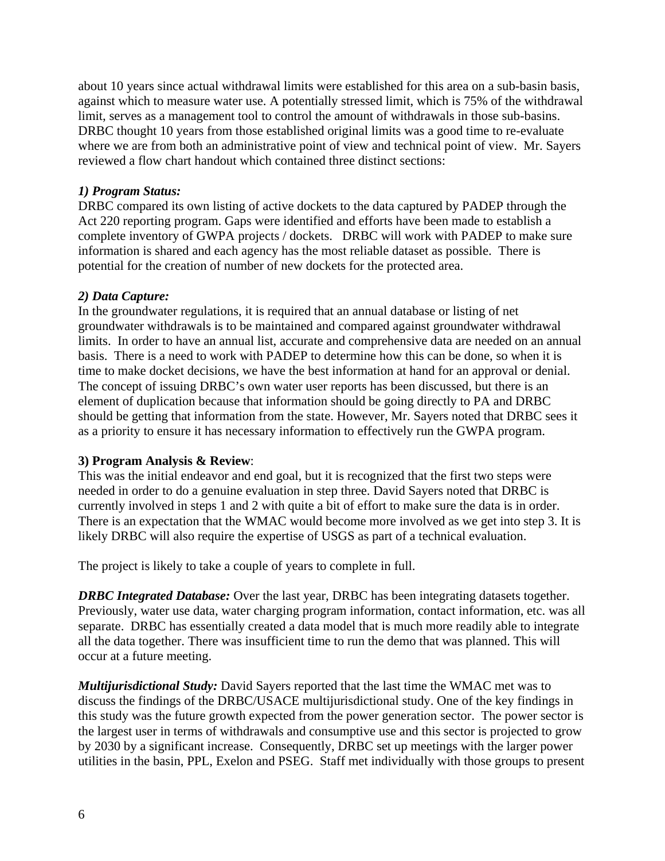about 10 years since actual withdrawal limits were established for this area on a sub-basin basis, against which to measure water use. A potentially stressed limit, which is 75% of the withdrawal limit, serves as a management tool to control the amount of withdrawals in those sub-basins. DRBC thought 10 years from those established original limits was a good time to re-evaluate where we are from both an administrative point of view and technical point of view. Mr. Sayers reviewed a flow chart handout which contained three distinct sections:

## *1) Program Status:*

DRBC compared its own listing of active dockets to the data captured by PADEP through the Act 220 reporting program. Gaps were identified and efforts have been made to establish a complete inventory of GWPA projects / dockets. DRBC will work with PADEP to make sure information is shared and each agency has the most reliable dataset as possible. There is potential for the creation of number of new dockets for the protected area.

## *2) Data Capture:*

In the groundwater regulations, it is required that an annual database or listing of net groundwater withdrawals is to be maintained and compared against groundwater withdrawal limits. In order to have an annual list, accurate and comprehensive data are needed on an annual basis. There is a need to work with PADEP to determine how this can be done, so when it is time to make docket decisions, we have the best information at hand for an approval or denial. The concept of issuing DRBC's own water user reports has been discussed, but there is an element of duplication because that information should be going directly to PA and DRBC should be getting that information from the state. However, Mr. Sayers noted that DRBC sees it as a priority to ensure it has necessary information to effectively run the GWPA program.

# **3) Program Analysis & Review**:

This was the initial endeavor and end goal, but it is recognized that the first two steps were needed in order to do a genuine evaluation in step three. David Sayers noted that DRBC is currently involved in steps 1 and 2 with quite a bit of effort to make sure the data is in order. There is an expectation that the WMAC would become more involved as we get into step 3. It is likely DRBC will also require the expertise of USGS as part of a technical evaluation.

The project is likely to take a couple of years to complete in full.

**DRBC Integrated Database:** Over the last year, DRBC has been integrating datasets together. Previously, water use data, water charging program information, contact information, etc. was all separate. DRBC has essentially created a data model that is much more readily able to integrate all the data together. There was insufficient time to run the demo that was planned. This will occur at a future meeting.

*Multijurisdictional Study:* David Sayers reported that the last time the WMAC met was to discuss the findings of the DRBC/USACE multijurisdictional study. One of the key findings in this study was the future growth expected from the power generation sector. The power sector is the largest user in terms of withdrawals and consumptive use and this sector is projected to grow by 2030 by a significant increase. Consequently, DRBC set up meetings with the larger power utilities in the basin, PPL, Exelon and PSEG. Staff met individually with those groups to present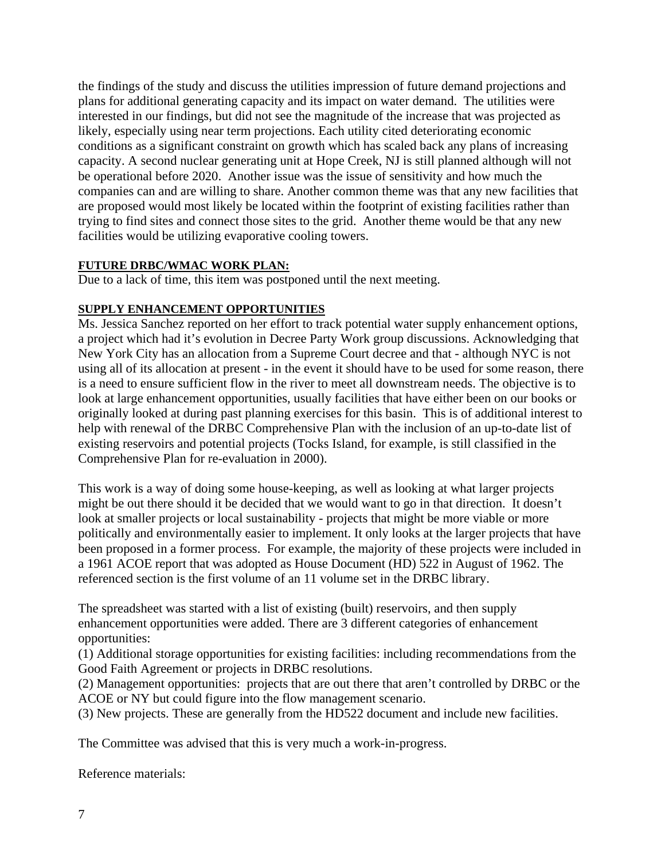the findings of the study and discuss the utilities impression of future demand projections and plans for additional generating capacity and its impact on water demand. The utilities were interested in our findings, but did not see the magnitude of the increase that was projected as likely, especially using near term projections. Each utility cited deteriorating economic conditions as a significant constraint on growth which has scaled back any plans of increasing capacity. A second nuclear generating unit at Hope Creek, NJ is still planned although will not be operational before 2020. Another issue was the issue of sensitivity and how much the companies can and are willing to share. Another common theme was that any new facilities that are proposed would most likely be located within the footprint of existing facilities rather than trying to find sites and connect those sites to the grid. Another theme would be that any new facilities would be utilizing evaporative cooling towers.

## **FUTURE DRBC/WMAC WORK PLAN:**

Due to a lack of time, this item was postponed until the next meeting.

### **SUPPLY ENHANCEMENT OPPORTUNITIES**

Ms. Jessica Sanchez reported on her effort to track potential water supply enhancement options, a project which had it's evolution in Decree Party Work group discussions. Acknowledging that New York City has an allocation from a Supreme Court decree and that - although NYC is not using all of its allocation at present - in the event it should have to be used for some reason, there is a need to ensure sufficient flow in the river to meet all downstream needs. The objective is to look at large enhancement opportunities, usually facilities that have either been on our books or originally looked at during past planning exercises for this basin. This is of additional interest to help with renewal of the DRBC Comprehensive Plan with the inclusion of an up-to-date list of existing reservoirs and potential projects (Tocks Island, for example, is still classified in the Comprehensive Plan for re-evaluation in 2000).

This work is a way of doing some house-keeping, as well as looking at what larger projects might be out there should it be decided that we would want to go in that direction. It doesn't look at smaller projects or local sustainability - projects that might be more viable or more politically and environmentally easier to implement. It only looks at the larger projects that have been proposed in a former process. For example, the majority of these projects were included in a 1961 ACOE report that was adopted as House Document (HD) 522 in August of 1962. The referenced section is the first volume of an 11 volume set in the DRBC library.

The spreadsheet was started with a list of existing (built) reservoirs, and then supply enhancement opportunities were added. There are 3 different categories of enhancement opportunities:

(1) Additional storage opportunities for existing facilities: including recommendations from the Good Faith Agreement or projects in DRBC resolutions.

(2) Management opportunities: projects that are out there that aren't controlled by DRBC or the ACOE or NY but could figure into the flow management scenario.

(3) New projects. These are generally from the HD522 document and include new facilities.

The Committee was advised that this is very much a work-in-progress.

Reference materials: